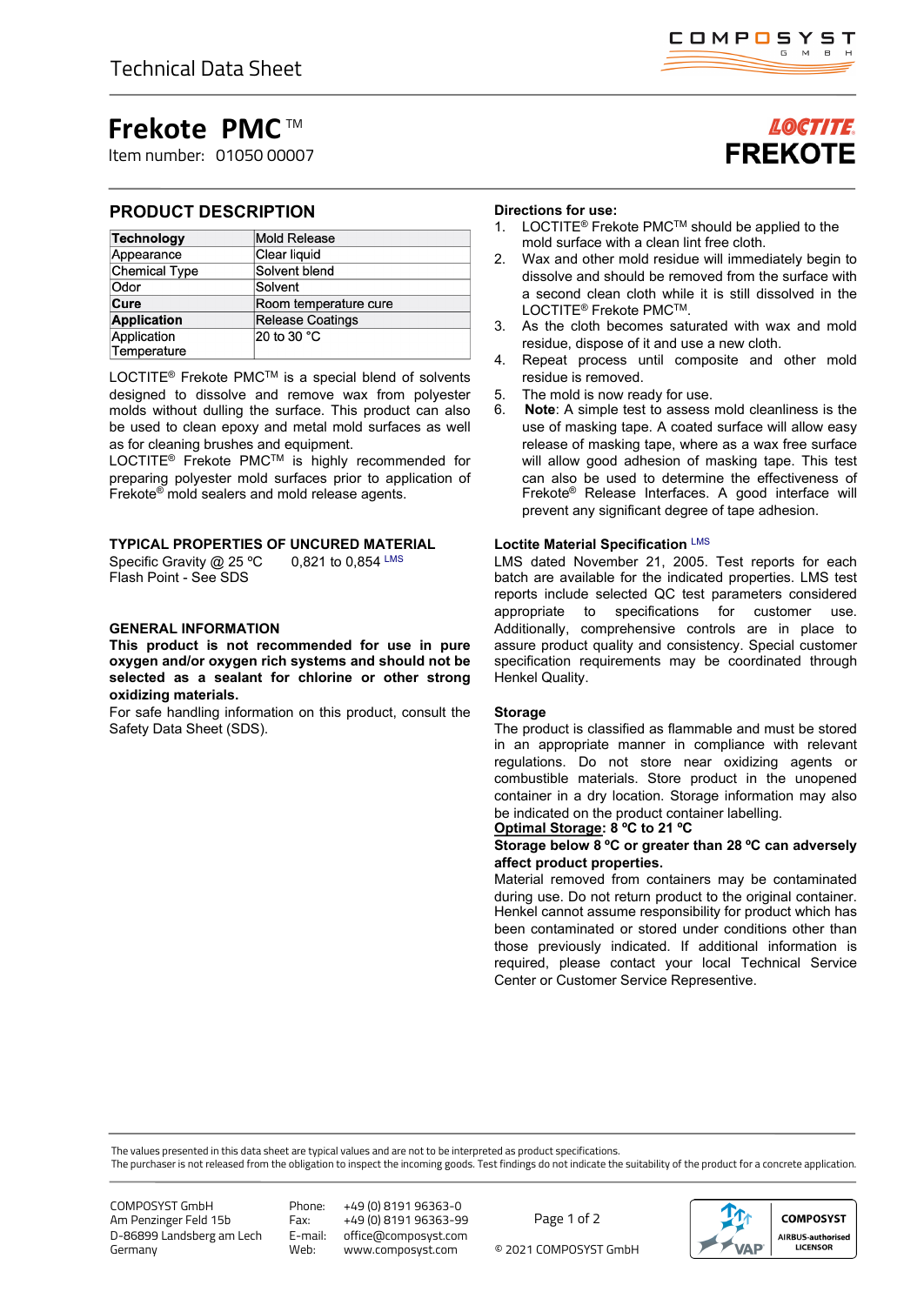# **Frekote PMC** TM

Item number: 01050 00007

## **PRODUCT DESCRIPTION**

| <b>Technology</b>          | Mold Release            |
|----------------------------|-------------------------|
| Appearance                 | Clear liquid            |
| <b>Chemical Type</b>       | Solvent blend           |
| Odor                       | Solvent                 |
| Cure                       | Room temperature cure   |
| <b>Application</b>         | <b>Release Coatings</b> |
| Application<br>Temperature | 20 to 30 °C             |

LOCTITE<sup>®</sup> Frekote PMC<sup>™</sup> is a special blend of solvents designed to dissolve and remove wax from polyester molds without dulling the surface. This product can also be used to clean epoxy and metal mold surfaces as well as for cleaning brushes and equipment.

LOCTITE<sup>®</sup> Frekote PMC<sup>™</sup> is highly recommended for preparing polyester mold surfaces prior to application of Frekote® mold sealers and mold release agents.

### **TYPICAL PROPERTIES OF UNCURED MATERIAL**

Specific Gravity @ 25 °C 0,821 to 0,854 LMS Flash Point - See SDS

## **GENERAL INFORMATION**

**This product is not recommended for use in pure oxygen and/or oxygen rich systems and should not be selected as a sealant for chlorine or other strong oxidizing materials.**

For safe handling information on this product, consult the Safety Data Sheet (SDS).

## **Directions for use:**

- 1. LOCTITE® Frekote PMCTM should be applied to the mold surface with a clean lint free cloth.
- 2. Wax and other mold residue will immediately begin to dissolve and should be removed from the surface with a second clean cloth while it is still dissolved in the LOCTITE® Frekote PMCTM.
- 3. As the cloth becomes saturated with wax and mold residue, dispose of it and use a new cloth.
- 4. Repeat process until composite and other mold residue is removed.
- 5. The mold is now ready for use.
- 6. **Note**: A simple test to assess mold cleanliness is the use of masking tape. A coated surface will allow easy release of masking tape, where as a wax free surface will allow good adhesion of masking tape. This test can also be used to determine the effectiveness of Frekote® Release Interfaces. A good interface will prevent any significant degree of tape adhesion.

### **Loctite Material Specification** LMS

LMS dated November 21, 2005. Test reports for each batch are available for the indicated properties. LMS test reports include selected QC test parameters considered appropriate to specifications for customer use. Additionally, comprehensive controls are in place to assure product quality and consistency. Special customer specification requirements may be coordinated through Henkel Quality.

### **Storage**

The product is classified as flammable and must be stored in an appropriate manner in compliance with relevant regulations. Do not store near oxidizing agents or combustible materials. Store product in the unopened container in a dry location. Storage information may also be indicated on the product container labelling. **Optimal Storage: 8 ºC to 21 ºC**

### **Storage below 8 ºC or greater than 28 ºC can adversely affect product properties.**

Material removed from containers may be contaminated during use. Do not return product to the original container. Henkel cannot assume responsibility for product which has been contaminated or stored under conditions other than those previously indicated. If additional information is required, please contact your local Technical Service Center or Customer Service Representive.

The values presented in this data sheet are typical values and are not to be interpreted as product specifications.

The purchaser is not released from the obligation to inspect the incoming goods. Test findings do not indicate the suitability of the product for a concrete application.

COMPOSYST GmbH Am Penzinger Feld 15b D-86899 Landsberg am Lech Germany

Phone: +49 (0) 8191 96363-0 Fax: +49 (0) 8191 96363-99<br>E-mail: office@composyst.com E-mail: office@composyst.com

© 2021 COMPOSYST GmbH Page 1 of 2





# **LOCTITE FREKOTE**